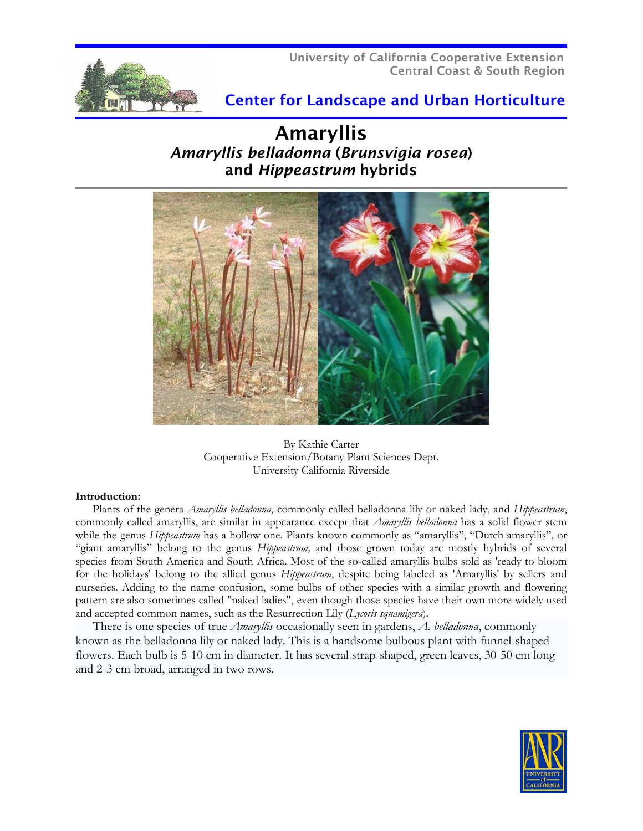

# Center for Landscape and Urban Horticulture

# Amaryllis *Amaryllis belladonna* (*Brunsvigia rosea*) and *Hippeastrum* hybrids



By Kathie Carter Cooperative Extension/Botany Plant Sciences Dept. University California Riverside

## **Introduction:**

Plants of the genera *Amaryllis belladonna*, commonly called belladonna lily or naked lady, and *Hippeastrum*, commonly called amaryllis, are similar in appearance except that *Amaryllis belladonna* has a solid flower stem while the genus *Hippeastrum* has a hollow one. Plants known commonly as "amaryllis", "Dutch amaryllis", or "giant amaryllis" belong to the genus *Hippeastrum,* and those grown today are mostly hybrids of several species from South America and South Africa. Most of the so-called amaryllis bulbs sold as 'ready to bloom for the holidays' belong to the allied genus *Hippeastrum*, despite being labeled as 'Amaryllis' by sellers and nurseries. Adding to the name confusion, some bulbs of other species with a similar growth and flowering pattern are also sometimes called "naked ladies", even though those species have their own more widely used and accepted common names, such as the Resurrection Lily (*Lycoris squamigera*).

There is one species of true *Amaryllis* occasionally seen in gardens, *A. belladonna*, commonly known as the belladonna lily or naked lady. This is a handsome bulbous plant with funnel-shaped flowers. Each bulb is 5-10 cm in diameter. It has several strap-shaped, green leaves, 30-50 cm long and 2-3 cm broad, arranged in two rows.

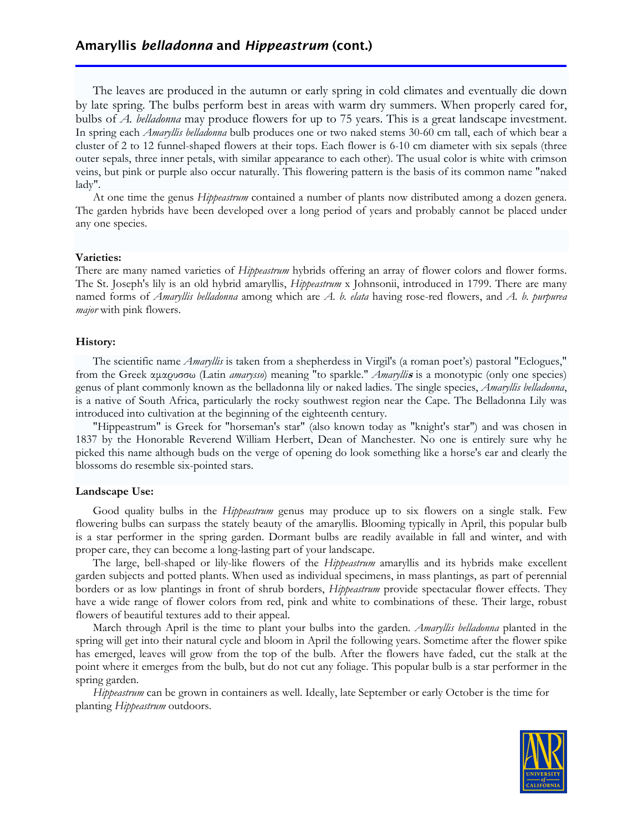The leaves are produced in the autumn or early spring in cold climates and eventually die down by late spring. The bulbs perform best in areas with warm dry summers. When properly cared for, bulbs of *A. belladonna* may produce flowers for up to 75 years. This is a great landscape investment. In spring each *Amaryllis belladonna* bulb produces one or two naked stems 30-60 cm tall, each of which bear a cluster of 2 to 12 funnel-shaped flowers at their tops. Each flower is 6-10 cm diameter with six sepals (three outer sepals, three inner petals, with similar appearance to each other). The usual color is white with crimson veins, but pink or purple also occur naturally. This flowering pattern is the basis of its common name "naked lady".

At one time the genus *Hippeastrum* contained a number of plants now distributed among a dozen genera. The garden hybrids have been developed over a long period of years and probably cannot be placed under any one species.

#### **Varieties:**

There are many named varieties of *Hippeastrum* hybrids offering an array of flower colors and flower forms. The St. Joseph's lily is an old hybrid amaryllis, *Hippeastrum* x Johnsonii, introduced in 1799. There are many named forms of *Amaryllis belladonna* among which are *A. b. elata* having rose-red flowers, and *A. b. purpurea major* with pink flowers.

#### **History:**

The scientific name *Amaryllis* is taken from a shepherdess in Virgil's (a roman poet's) pastoral "Eclogues," from the Greek αμαρυσσω (Latin *amarysso*) meaning "to sparkle." *Amarylli***s** is a monotypic (only one species) genus of plant commonly known as the belladonna lily or naked ladies. The single species, *Amaryllis belladonna*, is a native of South Africa, particularly the rocky southwest region near the Cape. The Belladonna Lily was introduced into cultivation at the beginning of the eighteenth century.

"Hippeastrum" is Greek for "horseman's star" (also known today as "knight's star") and was chosen in 1837 by the Honorable Reverend William Herbert, Dean of Manchester. No one is entirely sure why he picked this name although buds on the verge of opening do look something like a horse's ear and clearly the blossoms do resemble six-pointed stars.

#### **Landscape Use:**

Good quality bulbs in the *Hippeastrum* genus may produce up to six flowers on a single stalk. Few flowering bulbs can surpass the stately beauty of the amaryllis. Blooming typically in April, this popular bulb is a star performer in the spring garden. Dormant bulbs are readily available in fall and winter, and with proper care, they can become a long-lasting part of your landscape.

The large, bell-shaped or lily-like flowers of the *Hippeastrum* amaryllis and its hybrids make excellent garden subjects and potted plants. When used as individual specimens, in mass plantings, as part of perennial borders or as low plantings in front of shrub borders, *Hippeastrum* provide spectacular flower effects. They have a wide range of flower colors from red, pink and white to combinations of these. Their large, robust flowers of beautiful textures add to their appeal.

March through April is the time to plant your bulbs into the garden. *Amaryllis belladonna* planted in the spring will get into their natural cycle and bloom in April the following years. Sometime after the flower spike has emerged, leaves will grow from the top of the bulb. After the flowers have faded, cut the stalk at the point where it emerges from the bulb, but do not cut any foliage. This popular bulb is a star performer in the spring garden.

*Hippeastrum* can be grown in containers as well. Ideally, late September or early October is the time for planting *Hippeastrum* outdoors.

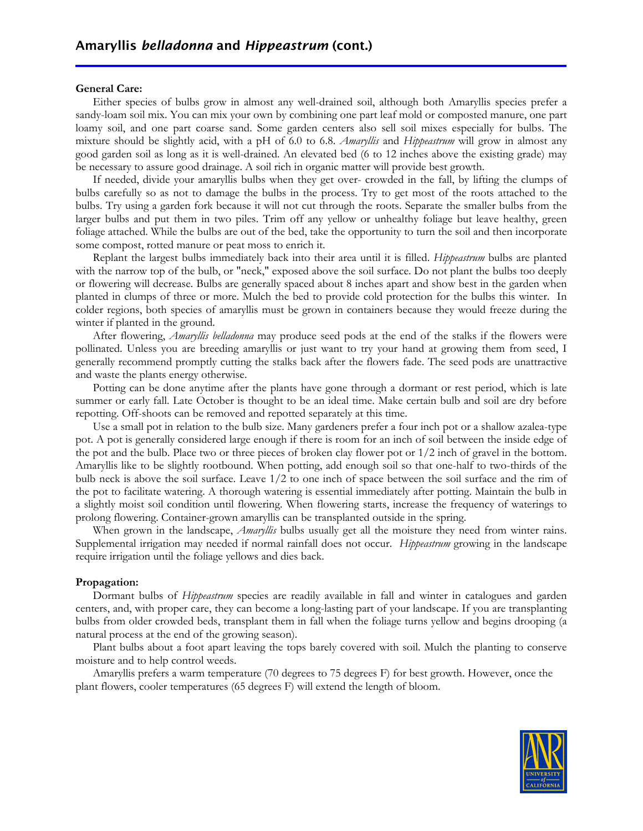#### **General Care:**

Either species of bulbs grow in almost any well-drained soil, although both Amaryllis species prefer a sandy-loam soil mix. You can mix your own by combining one part leaf mold or composted manure, one part loamy soil, and one part coarse sand. Some garden centers also sell soil mixes especially for bulbs. The mixture should be slightly acid, with a pH of 6.0 to 6.8. *Amaryllis* and *Hippeastrum* will grow in almost any good garden soil as long as it is well-drained. An elevated bed (6 to 12 inches above the existing grade) may be necessary to assure good drainage. A soil rich in organic matter will provide best growth.

If needed, divide your amaryllis bulbs when they get over- crowded in the fall, by lifting the clumps of bulbs carefully so as not to damage the bulbs in the process. Try to get most of the roots attached to the bulbs. Try using a garden fork because it will not cut through the roots. Separate the smaller bulbs from the larger bulbs and put them in two piles. Trim off any yellow or unhealthy foliage but leave healthy, green foliage attached. While the bulbs are out of the bed, take the opportunity to turn the soil and then incorporate some compost, rotted manure or peat moss to enrich it.

Replant the largest bulbs immediately back into their area until it is filled. *Hippeastrum* bulbs are planted with the narrow top of the bulb, or "neck," exposed above the soil surface. Do not plant the bulbs too deeply or flowering will decrease. Bulbs are generally spaced about 8 inches apart and show best in the garden when planted in clumps of three or more. Mulch the bed to provide cold protection for the bulbs this winter. In colder regions, both species of amaryllis must be grown in containers because they would freeze during the winter if planted in the ground.

After flowering, *Amaryllis belladonna* may produce seed pods at the end of the stalks if the flowers were pollinated. Unless you are breeding amaryllis or just want to try your hand at growing them from seed, I generally recommend promptly cutting the stalks back after the flowers fade. The seed pods are unattractive and waste the plants energy otherwise.

Potting can be done anytime after the plants have gone through a dormant or rest period, which is late summer or early fall. Late October is thought to be an ideal time. Make certain bulb and soil are dry before repotting. Off-shoots can be removed and repotted separately at this time.

Use a small pot in relation to the bulb size. Many gardeners prefer a four inch pot or a shallow azalea-type pot. A pot is generally considered large enough if there is room for an inch of soil between the inside edge of the pot and the bulb. Place two or three pieces of broken clay flower pot or 1/2 inch of gravel in the bottom. Amaryllis like to be slightly rootbound. When potting, add enough soil so that one-half to two-thirds of the bulb neck is above the soil surface. Leave 1/2 to one inch of space between the soil surface and the rim of the pot to facilitate watering. A thorough watering is essential immediately after potting. Maintain the bulb in a slightly moist soil condition until flowering. When flowering starts, increase the frequency of waterings to prolong flowering. Container-grown amaryllis can be transplanted outside in the spring.

When grown in the landscape, *Amaryllis* bulbs usually get all the moisture they need from winter rains. Supplemental irrigation may needed if normal rainfall does not occur. *Hippeastrum* growing in the landscape require irrigation until the foliage yellows and dies back.

#### **Propagation:**

Dormant bulbs of *Hippeastrum* species are readily available in fall and winter in catalogues and garden centers, and, with proper care, they can become a long-lasting part of your landscape. If you are transplanting bulbs from older crowded beds, transplant them in fall when the foliage turns yellow and begins drooping (a natural process at the end of the growing season).

Plant bulbs about a foot apart leaving the tops barely covered with soil. Mulch the planting to conserve moisture and to help control weeds.

Amaryllis prefers a warm temperature (70 degrees to 75 degrees F) for best growth. However, once the plant flowers, cooler temperatures (65 degrees F) will extend the length of bloom.